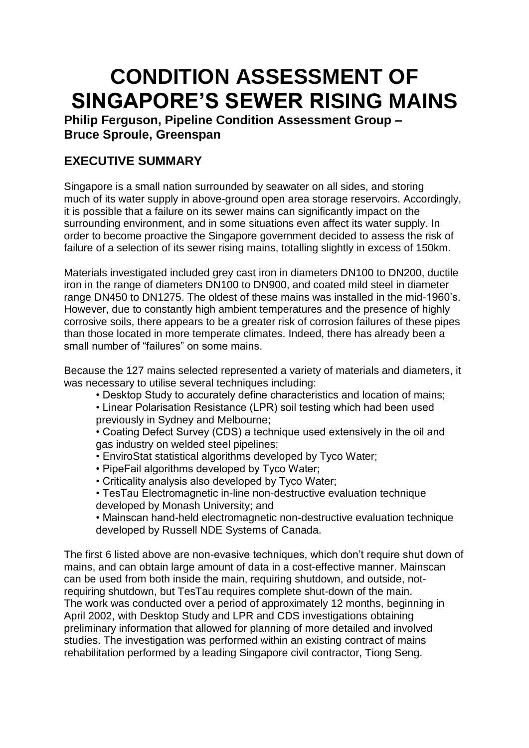## **CONDITION ASSESSMENT OF SINGAPORE'S SEWER RISING MAINS**

**Philip Ferguson, Pipeline Condition Assessment Group – Bruce Sproule, Greenspan** 

## **EXECUTIVE SUMMARY**

Singapore is a small nation surrounded by seawater on all sides, and storing much of its water supply in above-ground open area storage reservoirs. Accordingly, it is possible that a failure on its sewer mains can significantly impact on the surrounding environment, and in some situations even affect its water supply. In order to become proactive the Singapore government decided to assess the risk of failure of a selection of its sewer rising mains, totalling slightly in excess of 150km.

Materials investigated included grey cast iron in diameters DN100 to DN200, ductile iron in the range of diameters DN100 to DN900, and coated mild steel in diameter range DN450 to DN1275. The oldest of these mains was installed in the mid-1960's. However, due to constantly high ambient temperatures and the presence of highly corrosive soils, there appears to be a greater risk of corrosion failures of these pipes than those located in more temperate climates. Indeed, there has already been a small number of "failures" on some mains.

Because the 127 mains selected represented a variety of materials and diameters, it was necessary to utilise several techniques including:

- Desktop Study to accurately define characteristics and location of mains;
- Linear Polarisation Resistance (LPR) soil testing which had been used previously in Sydney and Melbourne;

• Coating Defect Survey (CDS) a technique used extensively in the oil and gas industry on welded steel pipelines;

- EnviroStat statistical algorithms developed by Tyco Water;
- PipeFail algorithms developed by Tyco Water;
- Criticality analysis also developed by Tyco Water;

• TesTau Electromagnetic in-line non-destructive evaluation technique developed by Monash University; and

• Mainscan hand-held electromagnetic non-destructive evaluation technique developed by Russell NDE Systems of Canada.

The first 6 listed above are non-evasive techniques, which don't require shut down of mains, and can obtain large amount of data in a cost-effective manner. Mainscan can be used from both inside the main, requiring shutdown, and outside, notrequiring shutdown, but TesTau requires complete shut-down of the main. The work was conducted over a period of approximately 12 months, beginning in April 2002, with Desktop Study and LPR and CDS investigations obtaining preliminary information that allowed for planning of more detailed and involved studies. The investigation was performed within an existing contract of mains rehabilitation performed by a leading Singapore civil contractor, Tiong Seng.